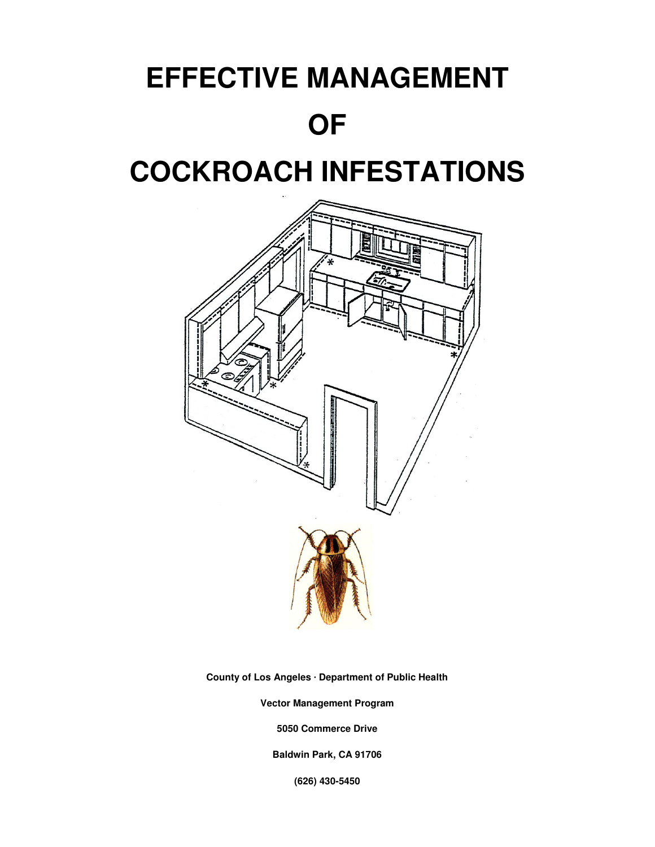# **EFFECTIVE MANAGEMENT OF**



**County of Los Angeles · Department of Public Health** 

**Vector Management Program** 

**5050 Commerce Drive** 

**Baldwin Park, CA 91706** 

**(626) 430-5450**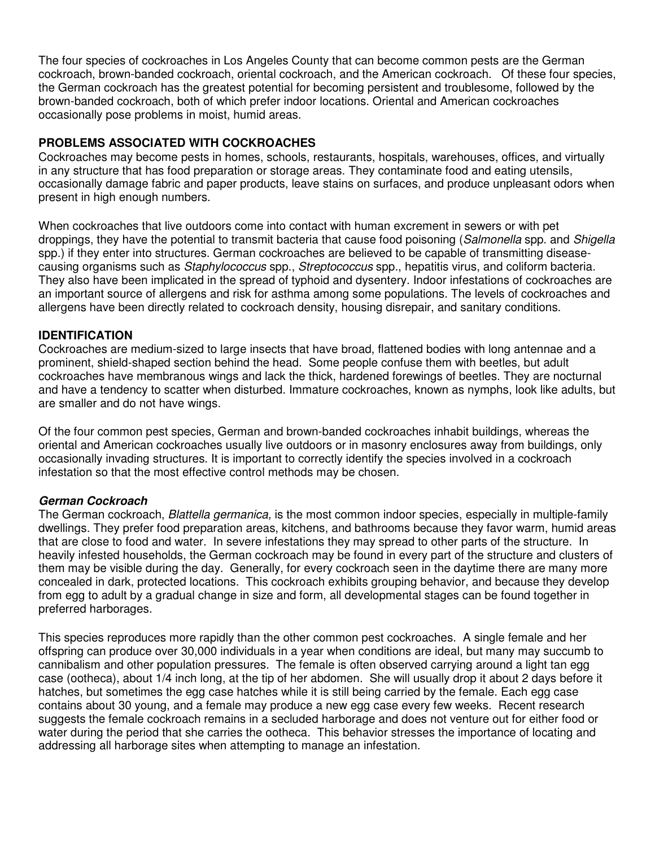The four species of cockroaches in Los Angeles County that can become common pests are the German cockroach, brown-banded cockroach, oriental cockroach, and the American cockroach. Of these four species, the German cockroach has the greatest potential for becoming persistent and troublesome, followed by the brown-banded cockroach, both of which prefer indoor locations. Oriental and American cockroaches occasionally pose problems in moist, humid areas.

## **PROBLEMS ASSOCIATED WITH COCKROACHES**

Cockroaches may become pests in homes, schools, restaurants, hospitals, warehouses, offices, and virtually in any structure that has food preparation or storage areas. They contaminate food and eating utensils, occasionally damage fabric and paper products, leave stains on surfaces, and produce unpleasant odors when present in high enough numbers.

When cockroaches that live outdoors come into contact with human excrement in sewers or with pet droppings, they have the potential to transmit bacteria that cause food poisoning (Salmonella spp. and Shigella spp.) if they enter into structures. German cockroaches are believed to be capable of transmitting diseasecausing organisms such as *Staphylococcus* spp., Streptococcus spp., hepatitis virus, and coliform bacteria. They also have been implicated in the spread of typhoid and dysentery. Indoor infestations of cockroaches are an important source of allergens and risk for asthma among some populations. The levels of cockroaches and allergens have been directly related to cockroach density, housing disrepair, and sanitary conditions.

### **IDENTIFICATION**

Cockroaches are medium-sized to large insects that have broad, flattened bodies with long antennae and a prominent, shield-shaped section behind the head. Some people confuse them with beetles, but adult cockroaches have membranous wings and lack the thick, hardened forewings of beetles. They are nocturnal and have a tendency to scatter when disturbed. Immature cockroaches, known as nymphs, look like adults, but are smaller and do not have wings.

Of the four common pest species, German and brown-banded cockroaches inhabit buildings, whereas the oriental and American cockroaches usually live outdoors or in masonry enclosures away from buildings, only occasionally invading structures. It is important to correctly identify the species involved in a cockroach infestation so that the most effective control methods may be chosen.

# **German Cockroach**

The German cockroach, *Blattella germanica*, is the most common indoor species, especially in multiple-family dwellings. They prefer food preparation areas, kitchens, and bathrooms because they favor warm, humid areas that are close to food and water. In severe infestations they may spread to other parts of the structure. In heavily infested households, the German cockroach may be found in every part of the structure and clusters of them may be visible during the day. Generally, for every cockroach seen in the daytime there are many more concealed in dark, protected locations. This cockroach exhibits grouping behavior, and because they develop from egg to adult by a gradual change in size and form, all developmental stages can be found together in preferred harborages.

This species reproduces more rapidly than the other common pest cockroaches. A single female and her offspring can produce over 30,000 individuals in a year when conditions are ideal, but many may succumb to cannibalism and other population pressures. The female is often observed carrying around a light tan egg case (ootheca), about 1/4 inch long, at the tip of her abdomen. She will usually drop it about 2 days before it hatches, but sometimes the egg case hatches while it is still being carried by the female. Each egg case contains about 30 young, and a female may produce a new egg case every few weeks. Recent research suggests the female cockroach remains in a secluded harborage and does not venture out for either food or water during the period that she carries the ootheca. This behavior stresses the importance of locating and addressing all harborage sites when attempting to manage an infestation.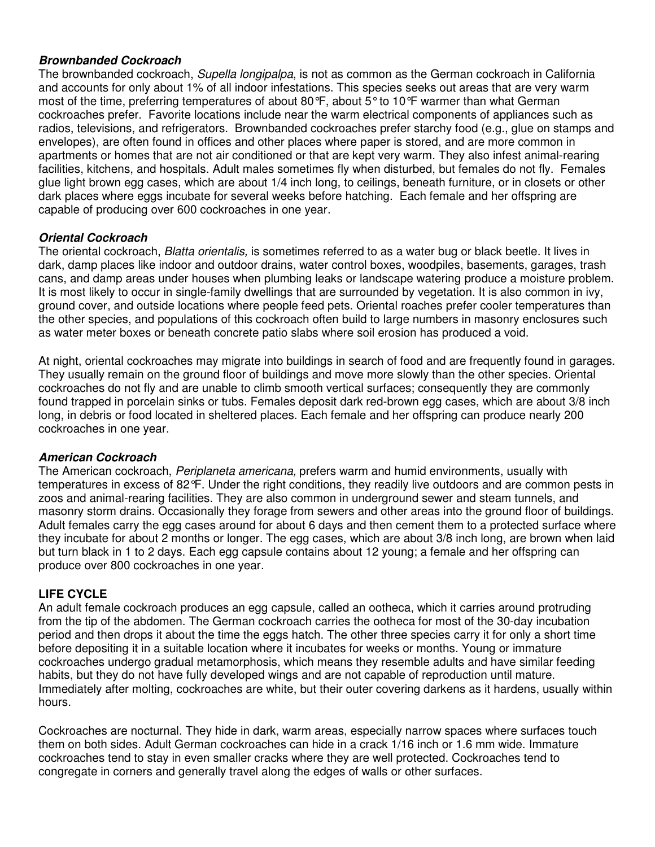#### **Brownbanded Cockroach**

The brownbanded cockroach, Supella longipalpa, is not as common as the German cockroach in California and accounts for only about 1% of all indoor infestations. This species seeks out areas that are very warm most of the time, preferring temperatures of about 80°F, about 5° to 10°F warmer than what German cockroaches prefer. Favorite locations include near the warm electrical components of appliances such as radios, televisions, and refrigerators. Brownbanded cockroaches prefer starchy food (e.g., glue on stamps and envelopes), are often found in offices and other places where paper is stored, and are more common in apartments or homes that are not air conditioned or that are kept very warm. They also infest animal-rearing facilities, kitchens, and hospitals. Adult males sometimes fly when disturbed, but females do not fly. Females glue light brown egg cases, which are about 1/4 inch long, to ceilings, beneath furniture, or in closets or other dark places where eggs incubate for several weeks before hatching. Each female and her offspring are capable of producing over 600 cockroaches in one year.

#### **Oriental Cockroach**

The oriental cockroach, *Blatta orientalis*, is sometimes referred to as a water bug or black beetle. It lives in dark, damp places like indoor and outdoor drains, water control boxes, woodpiles, basements, garages, trash cans, and damp areas under houses when plumbing leaks or landscape watering produce a moisture problem. It is most likely to occur in single-family dwellings that are surrounded by vegetation. It is also common in ivy, ground cover, and outside locations where people feed pets. Oriental roaches prefer cooler temperatures than the other species, and populations of this cockroach often build to large numbers in masonry enclosures such as water meter boxes or beneath concrete patio slabs where soil erosion has produced a void.

At night, oriental cockroaches may migrate into buildings in search of food and are frequently found in garages. They usually remain on the ground floor of buildings and move more slowly than the other species. Oriental cockroaches do not fly and are unable to climb smooth vertical surfaces; consequently they are commonly found trapped in porcelain sinks or tubs. Females deposit dark red-brown egg cases, which are about 3/8 inch long, in debris or food located in sheltered places. Each female and her offspring can produce nearly 200 cockroaches in one year.

#### **American Cockroach**

The American cockroach, Periplaneta americana, prefers warm and humid environments, usually with temperatures in excess of 82°F. Under the right conditions, they readily live outdoors and are common pests in zoos and animal-rearing facilities. They are also common in underground sewer and steam tunnels, and masonry storm drains. Occasionally they forage from sewers and other areas into the ground floor of buildings. Adult females carry the egg cases around for about 6 days and then cement them to a protected surface where they incubate for about 2 months or longer. The egg cases, which are about 3/8 inch long, are brown when laid but turn black in 1 to 2 days. Each egg capsule contains about 12 young; a female and her offspring can produce over 800 cockroaches in one year.

#### **LIFE CYCLE**

An adult female cockroach produces an egg capsule, called an ootheca, which it carries around protruding from the tip of the abdomen. The German cockroach carries the ootheca for most of the 30-day incubation period and then drops it about the time the eggs hatch. The other three species carry it for only a short time before depositing it in a suitable location where it incubates for weeks or months. Young or immature cockroaches undergo gradual metamorphosis, which means they resemble adults and have similar feeding habits, but they do not have fully developed wings and are not capable of reproduction until mature. Immediately after molting, cockroaches are white, but their outer covering darkens as it hardens, usually within hours.

Cockroaches are nocturnal. They hide in dark, warm areas, especially narrow spaces where surfaces touch them on both sides. Adult German cockroaches can hide in a crack 1/16 inch or 1.6 mm wide. Immature cockroaches tend to stay in even smaller cracks where they are well protected. Cockroaches tend to congregate in corners and generally travel along the edges of walls or other surfaces.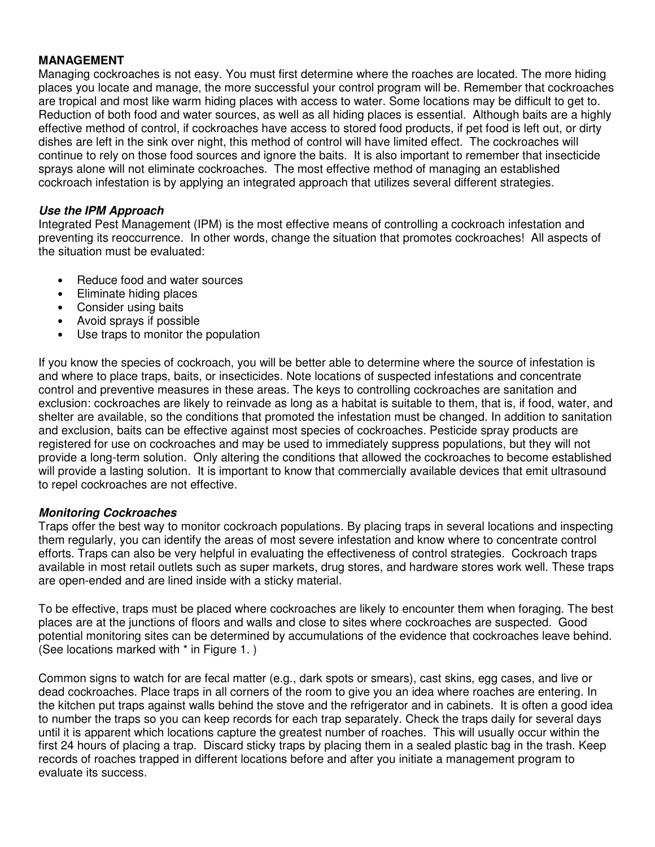#### **MANAGEMENT**

Managing cockroaches is not easy. You must first determine where the roaches are located. The more hiding places you locate and manage, the more successful your control program will be. Remember that cockroaches are tropical and most like warm hiding places with access to water. Some locations may be difficult to get to. Reduction of both food and water sources, as well as all hiding places is essential. Although baits are a highly effective method of control, if cockroaches have access to stored food products, if pet food is left out, or dirty dishes are left in the sink over night, this method of control will have limited effect. The cockroaches will continue to rely on those food sources and ignore the baits. It is also important to remember that insecticide sprays alone will not eliminate cockroaches. The most effective method of managing an established cockroach infestation is by applying an integrated approach that utilizes several different strategies.

#### **Use the IPM Approach**

Integrated Pest Management (IPM) is the most effective means of controlling a cockroach infestation and preventing its reoccurrence. In other words, change the situation that promotes cockroaches! All aspects of the situation must be evaluated:

- Reduce food and water sources
- Eliminate hiding places
- Consider using baits
- Avoid sprays if possible
- Use traps to monitor the population

If you know the species of cockroach, you will be better able to determine where the source of infestation is and where to place traps, baits, or insecticides. Note locations of suspected infestations and concentrate control and preventive measures in these areas. The keys to controlling cockroaches are sanitation and exclusion: cockroaches are likely to reinvade as long as a habitat is suitable to them, that is, if food, water, and shelter are available, so the conditions that promoted the infestation must be changed. In addition to sanitation and exclusion, baits can be effective against most species of cockroaches. Pesticide spray products are registered for use on cockroaches and may be used to immediately suppress populations, but they will not provide a long-term solution. Only altering the conditions that allowed the cockroaches to become established will provide a lasting solution. It is important to know that commercially available devices that emit ultrasound to repel cockroaches are not effective.

#### **Monitoring Cockroaches**

Traps offer the best way to monitor cockroach populations. By placing traps in several locations and inspecting them regularly, you can identify the areas of most severe infestation and know where to concentrate control efforts. Traps can also be very helpful in evaluating the effectiveness of control strategies. Cockroach traps available in most retail outlets such as super markets, drug stores, and hardware stores work well. These traps are open-ended and are lined inside with a sticky material.

To be effective, traps must be placed where cockroaches are likely to encounter them when foraging. The best places are at the junctions of floors and walls and close to sites where cockroaches are suspected. Good potential monitoring sites can be determined by accumulations of the evidence that cockroaches leave behind. (See locations marked with \* in Figure 1. )

Common signs to watch for are fecal matter (e.g., dark spots or smears), cast skins, egg cases, and live or dead cockroaches. Place traps in all corners of the room to give you an idea where roaches are entering. In the kitchen put traps against walls behind the stove and the refrigerator and in cabinets. It is often a good idea to number the traps so you can keep records for each trap separately. Check the traps daily for several days until it is apparent which locations capture the greatest number of roaches. This will usually occur within the first 24 hours of placing a trap. Discard sticky traps by placing them in a sealed plastic bag in the trash. Keep records of roaches trapped in different locations before and after you initiate a management program to evaluate its success.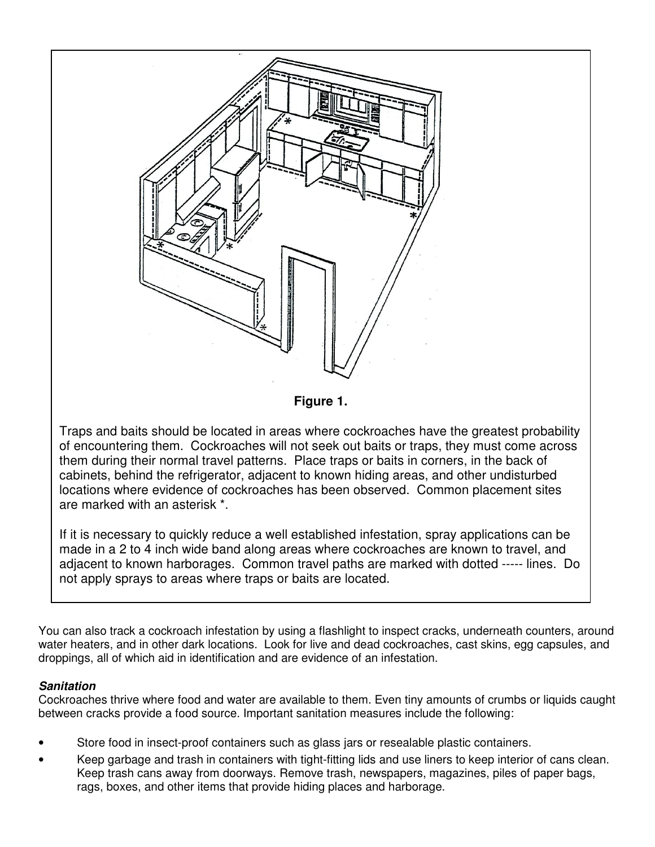

If it is necessary to quickly reduce a well established infestation, spray applications can be made in a 2 to 4 inch wide band along areas where cockroaches are known to travel, and adjacent to known harborages. Common travel paths are marked with dotted ----- lines. Do not apply sprays to areas where traps or baits are located.

You can also track a cockroach infestation by using a flashlight to inspect cracks, underneath counters, around water heaters, and in other dark locations. Look for live and dead cockroaches, cast skins, egg capsules, and droppings, all of which aid in identification and are evidence of an infestation.

# **Sanitation**

Cockroaches thrive where food and water are available to them. Even tiny amounts of crumbs or liquids caught between cracks provide a food source. Important sanitation measures include the following:

- Store food in insect-proof containers such as glass jars or resealable plastic containers.
- Keep garbage and trash in containers with tight-fitting lids and use liners to keep interior of cans clean. Keep trash cans away from doorways. Remove trash, newspapers, magazines, piles of paper bags, rags, boxes, and other items that provide hiding places and harborage.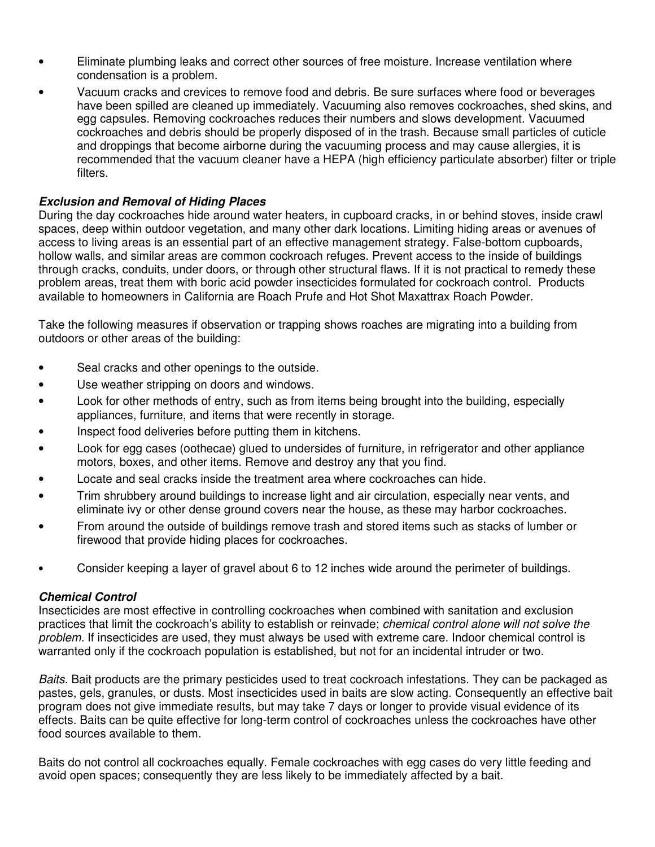- Eliminate plumbing leaks and correct other sources of free moisture. Increase ventilation where condensation is a problem.
- Vacuum cracks and crevices to remove food and debris. Be sure surfaces where food or beverages have been spilled are cleaned up immediately. Vacuuming also removes cockroaches, shed skins, and egg capsules. Removing cockroaches reduces their numbers and slows development. Vacuumed cockroaches and debris should be properly disposed of in the trash. Because small particles of cuticle and droppings that become airborne during the vacuuming process and may cause allergies, it is recommended that the vacuum cleaner have a HEPA (high efficiency particulate absorber) filter or triple filters.

#### **Exclusion and Removal of Hiding Places**

During the day cockroaches hide around water heaters, in cupboard cracks, in or behind stoves, inside crawl spaces, deep within outdoor vegetation, and many other dark locations. Limiting hiding areas or avenues of access to living areas is an essential part of an effective management strategy. False-bottom cupboards, hollow walls, and similar areas are common cockroach refuges. Prevent access to the inside of buildings through cracks, conduits, under doors, or through other structural flaws. If it is not practical to remedy these problem areas, treat them with boric acid powder insecticides formulated for cockroach control. Products available to homeowners in California are Roach Prufe and Hot Shot Maxattrax Roach Powder.

Take the following measures if observation or trapping shows roaches are migrating into a building from outdoors or other areas of the building:

- Seal cracks and other openings to the outside.
- Use weather stripping on doors and windows.
- Look for other methods of entry, such as from items being brought into the building, especially appliances, furniture, and items that were recently in storage.
- Inspect food deliveries before putting them in kitchens.
- Look for egg cases (oothecae) glued to undersides of furniture, in refrigerator and other appliance motors, boxes, and other items. Remove and destroy any that you find.
- Locate and seal cracks inside the treatment area where cockroaches can hide.
- Trim shrubbery around buildings to increase light and air circulation, especially near vents, and eliminate ivy or other dense ground covers near the house, as these may harbor cockroaches.
- From around the outside of buildings remove trash and stored items such as stacks of lumber or firewood that provide hiding places for cockroaches.
- Consider keeping a layer of gravel about 6 to 12 inches wide around the perimeter of buildings.

#### **Chemical Control**

Insecticides are most effective in controlling cockroaches when combined with sanitation and exclusion practices that limit the cockroach's ability to establish or reinvade; chemical control alone will not solve the problem. If insecticides are used, they must always be used with extreme care. Indoor chemical control is warranted only if the cockroach population is established, but not for an incidental intruder or two.

Baits. Bait products are the primary pesticides used to treat cockroach infestations. They can be packaged as pastes, gels, granules, or dusts. Most insecticides used in baits are slow acting. Consequently an effective bait program does not give immediate results, but may take 7 days or longer to provide visual evidence of its effects. Baits can be quite effective for long-term control of cockroaches unless the cockroaches have other food sources available to them.

Baits do not control all cockroaches equally. Female cockroaches with egg cases do very little feeding and avoid open spaces; consequently they are less likely to be immediately affected by a bait.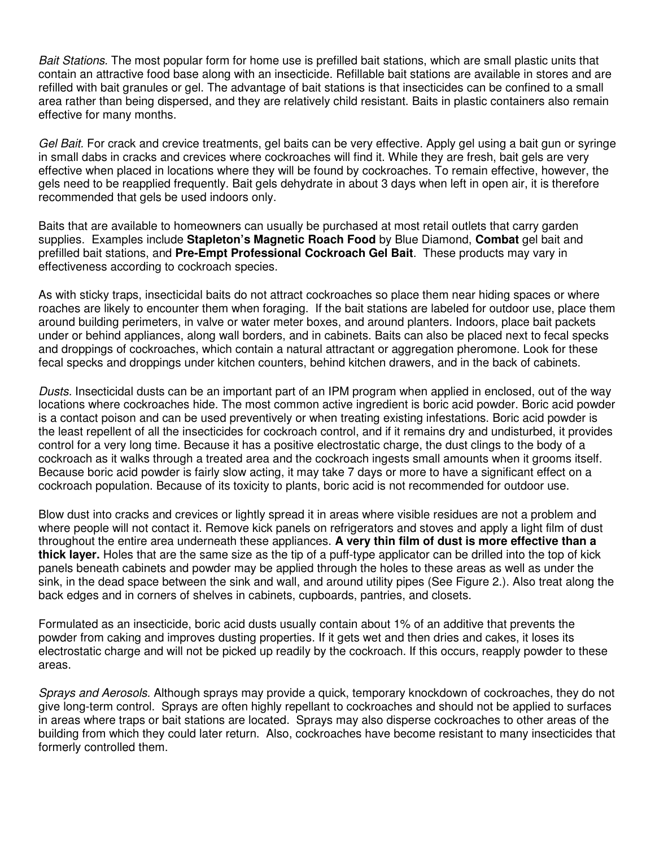Bait Stations. The most popular form for home use is prefilled bait stations, which are small plastic units that contain an attractive food base along with an insecticide. Refillable bait stations are available in stores and are refilled with bait granules or gel. The advantage of bait stations is that insecticides can be confined to a small area rather than being dispersed, and they are relatively child resistant. Baits in plastic containers also remain effective for many months.

Gel Bait. For crack and crevice treatments, gel baits can be very effective. Apply gel using a bait gun or syringe in small dabs in cracks and crevices where cockroaches will find it. While they are fresh, bait gels are very effective when placed in locations where they will be found by cockroaches. To remain effective, however, the gels need to be reapplied frequently. Bait gels dehydrate in about 3 days when left in open air, it is therefore recommended that gels be used indoors only.

Baits that are available to homeowners can usually be purchased at most retail outlets that carry garden supplies. Examples include **Stapleton's Magnetic Roach Food** by Blue Diamond, **Combat** gel bait and prefilled bait stations, and **Pre-Empt Professional Cockroach Gel Bait**. These products may vary in effectiveness according to cockroach species.

As with sticky traps, insecticidal baits do not attract cockroaches so place them near hiding spaces or where roaches are likely to encounter them when foraging. If the bait stations are labeled for outdoor use, place them around building perimeters, in valve or water meter boxes, and around planters. Indoors, place bait packets under or behind appliances, along wall borders, and in cabinets. Baits can also be placed next to fecal specks and droppings of cockroaches, which contain a natural attractant or aggregation pheromone. Look for these fecal specks and droppings under kitchen counters, behind kitchen drawers, and in the back of cabinets.

Dusts. Insecticidal dusts can be an important part of an IPM program when applied in enclosed, out of the way locations where cockroaches hide. The most common active ingredient is boric acid powder. Boric acid powder is a contact poison and can be used preventively or when treating existing infestations. Boric acid powder is the least repellent of all the insecticides for cockroach control, and if it remains dry and undisturbed, it provides control for a very long time. Because it has a positive electrostatic charge, the dust clings to the body of a cockroach as it walks through a treated area and the cockroach ingests small amounts when it grooms itself. Because boric acid powder is fairly slow acting, it may take 7 days or more to have a significant effect on a cockroach population. Because of its toxicity to plants, boric acid is not recommended for outdoor use.

Blow dust into cracks and crevices or lightly spread it in areas where visible residues are not a problem and where people will not contact it. Remove kick panels on refrigerators and stoves and apply a light film of dust throughout the entire area underneath these appliances. **A very thin film of dust is more effective than a thick layer.** Holes that are the same size as the tip of a puff-type applicator can be drilled into the top of kick panels beneath cabinets and powder may be applied through the holes to these areas as well as under the sink, in the dead space between the sink and wall, and around utility pipes (See Figure 2.). Also treat along the back edges and in corners of shelves in cabinets, cupboards, pantries, and closets.

Formulated as an insecticide, boric acid dusts usually contain about 1% of an additive that prevents the powder from caking and improves dusting properties. If it gets wet and then dries and cakes, it loses its electrostatic charge and will not be picked up readily by the cockroach. If this occurs, reapply powder to these areas.

Sprays and Aerosols. Although sprays may provide a quick, temporary knockdown of cockroaches, they do not give long-term control. Sprays are often highly repellant to cockroaches and should not be applied to surfaces in areas where traps or bait stations are located. Sprays may also disperse cockroaches to other areas of the building from which they could later return. Also, cockroaches have become resistant to many insecticides that formerly controlled them.